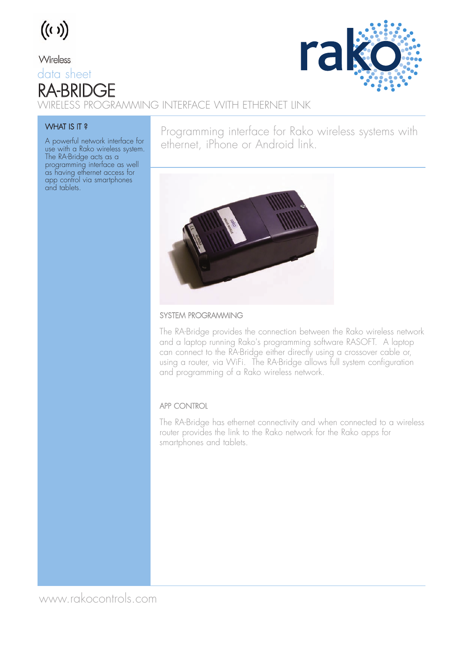

Wireless

### data sheet RA-BRIDGE



WIRELESS PROGRAMMING INTERFACE WITH ETHERNET LINK

#### WHAT IS IT ?

A powerful network interface for use with a Rako wireless system. The RA-Bridge acts as a programming interface as well as having ethernet access for app control via smartphones and tablets.

Programming interface for Rako wireless systems with ethernet, iPhone or Android link.



#### SYSTEM PROGRAMMING

The RA-Bridge provides the connection between the Rako wireless network and a laptop running Rako's programming software RASOFT. A laptop can connect to the RA-Bridge either directly using a crossover cable or, using a router, via WiFi. The RA-Bridge allows full system configuration and programming of a Rako wireless network.

### APP CONTROL

The RA-Bridge has ethernet connectivity and when connected to a wireless router provides the link to the Rako network for the Rako apps for smartphones and tablets.